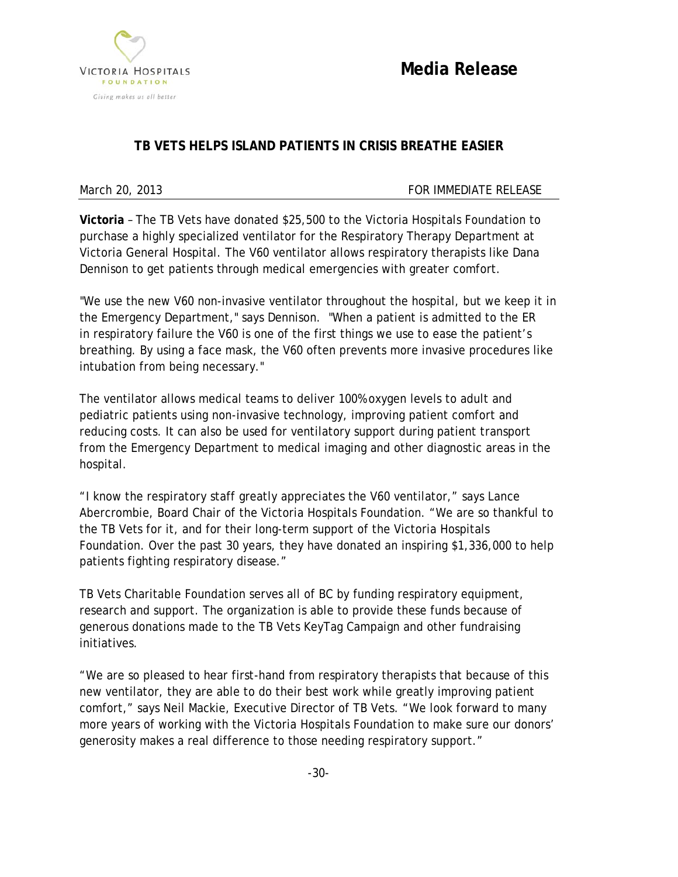

**Media Release**

# **TB VETS HELPS ISLAND PATIENTS IN CRISIS BREATHE EASIER**

## March 20, 2013 **FOR IMMEDIATE RELEASE**

**Victoria** – The TB Vets have donated \$25,500 to the Victoria Hospitals Foundation to purchase a highly specialized ventilator for the Respiratory Therapy Department at Victoria General Hospital. The V60 ventilator allows respiratory therapists like Dana Dennison to get patients through medical emergencies with greater comfort.

"We use the new V60 non-invasive ventilator throughout the hospital, but we keep it in the Emergency Department," says Dennison. "When a patient is admitted to the ER in respiratory failure the V60 is one of the first things we use to ease the patient's breathing. By using a face mask, the V60 often prevents more invasive procedures like intubation from being necessary."

The ventilator allows medical teams to deliver 100% oxygen levels to adult and pediatric patients using non-invasive technology, improving patient comfort and reducing costs. It can also be used for ventilatory support during patient transport from the Emergency Department to medical imaging and other diagnostic areas in the hospital.

"I know the respiratory staff greatly appreciates the V60 ventilator," says Lance Abercrombie, Board Chair of the Victoria Hospitals Foundation. "We are so thankful to the TB Vets for it, and for their long-term support of the Victoria Hospitals Foundation. Over the past 30 years, they have donated an inspiring \$1,336,000 to help patients fighting respiratory disease."

TB Vets Charitable Foundation serves all of BC by funding respiratory equipment, research and support. The organization is able to provide these funds because of generous donations made to the TB Vets KeyTag Campaign and other fundraising initiatives.

"We are so pleased to hear first-hand from respiratory therapists that because of this new ventilator, they are able to do their best work while greatly improving patient comfort," says Neil Mackie, Executive Director of TB Vets. "We look forward to many more years of working with the Victoria Hospitals Foundation to make sure our donors' generosity makes a real difference to those needing respiratory support."